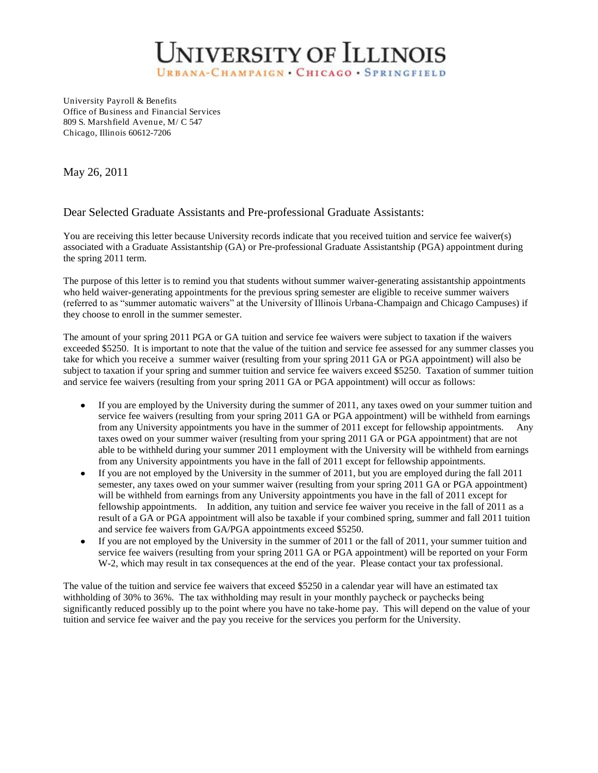

University Payroll & Benefits Office of Business and Financial Services 809 S. Marshfield Avenue, M/ C 547 Chicago, Illinois 60612-7206

May 26, 2011

Dear Selected Graduate Assistants and Pre-professional Graduate Assistants:

You are receiving this letter because University records indicate that you received tuition and service fee waiver(s) associated with a Graduate Assistantship (GA) or Pre-professional Graduate Assistantship (PGA) appointment during the spring 2011 term.

The purpose of this letter is to remind you that students without summer waiver-generating assistantship appointments who held waiver-generating appointments for the previous spring semester are eligible to receive summer waivers (referred to as "summer automatic waivers" at the University of Illinois Urbana-Champaign and Chicago Campuses) if they choose to enroll in the summer semester.

The amount of your spring 2011 PGA or GA tuition and service fee waivers were subject to taxation if the waivers exceeded \$5250. It is important to note that the value of the tuition and service fee assessed for any summer classes you take for which you receive a summer waiver (resulting from your spring 2011 GA or PGA appointment) will also be subject to taxation if your spring and summer tuition and service fee waivers exceed \$5250. Taxation of summer tuition and service fee waivers (resulting from your spring 2011 GA or PGA appointment) will occur as follows:

- If you are employed by the University during the summer of 2011, any taxes owed on your summer tuition and service fee waivers (resulting from your spring 2011 GA or PGA appointment) will be withheld from earnings from any University appointments you have in the summer of 2011 except for fellowship appointments. Any taxes owed on your summer waiver (resulting from your spring 2011 GA or PGA appointment) that are not able to be withheld during your summer 2011 employment with the University will be withheld from earnings from any University appointments you have in the fall of 2011 except for fellowship appointments.
- If you are not employed by the University in the summer of 2011, but you are employed during the fall 2011 semester, any taxes owed on your summer waiver (resulting from your spring 2011 GA or PGA appointment) will be withheld from earnings from any University appointments you have in the fall of 2011 except for fellowship appointments. In addition, any tuition and service fee waiver you receive in the fall of 2011 as a result of a GA or PGA appointment will also be taxable if your combined spring, summer and fall 2011 tuition and service fee waivers from GA/PGA appointments exceed \$5250.
- If you are not employed by the University in the summer of 2011 or the fall of 2011, your summer tuition and service fee waivers (resulting from your spring 2011 GA or PGA appointment) will be reported on your Form W-2, which may result in tax consequences at the end of the year. Please contact your tax professional.

The value of the tuition and service fee waivers that exceed \$5250 in a calendar year will have an estimated tax withholding of 30% to 36%. The tax withholding may result in your monthly paycheck or paychecks being significantly reduced possibly up to the point where you have no take-home pay. This will depend on the value of your tuition and service fee waiver and the pay you receive for the services you perform for the University.